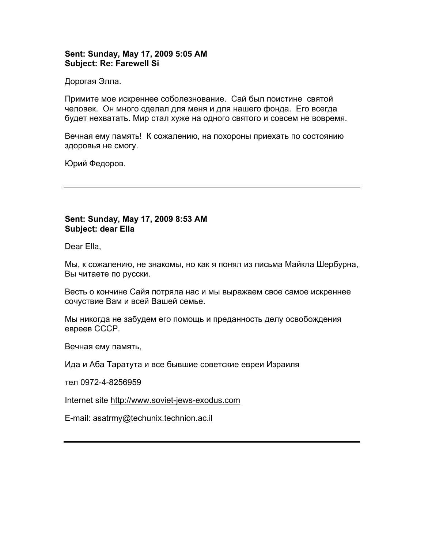# **Sent: Sunday, May 17, 2009 5:05 AM Subject: Re: Farewell Si**

Дорогая Элла.

Примите мое искреннее соболезнование. Сай был поистине святой человек. Он много сделал для меня и для нашего фонда. Его всегда будет нехватать. Мир стал хуже на одного святого и совсем не вовремя.

Вечная ему память! К сожалению, на похороны приехать по состоянию здоровья не смогу.

Юрий Федоров.

## **Sent: Sunday, May 17, 2009 8:53 AM Subject: dear Ella**

Dear Ella,

Mы, к сожалению, не знакомы, но как я понял из письма Майкла Шербурна, Вы читаете по русски.

Весть о кончине Сайя потряла нас и мы выражаем свое самое искреннее сочуствие Вам и всей Вашей семье.

Mы никогда не забудем его помощь и преданность делу освобождения евреев СССР.

Вечная ему память,

Ида и Аба Таратута и все бывшие советские евреи Израиля

тел 0972-4-8256959

Internet site [http://www.soviet-jews-exodus.com](http://www.soviet-jews-exodus.com/)

E-mail: [asatrmy@techunix.technion.ac.il](mailto:asatrmy@techunix.technion.ac.il)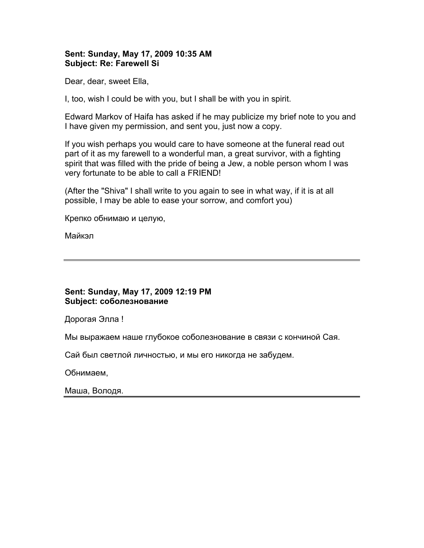# **Sent: Sunday, May 17, 2009 10:35 AM Subject: Re: Farewell Si**

Dear, dear, sweet Ella,

I, too, wish I could be with you, but I shall be with you in spirit.

Edward Markov of Haifa has asked if he may publicize my brief note to you and I have given my permission, and sent you, just now a copy.

If you wish perhaps you would care to have someone at the funeral read out part of it as my farewell to a wonderful man, a great survivor, with a fighting spirit that was filled with the pride of being a Jew, a noble person whom I was very fortunate to be able to call a FRIEND!

(After the "Shiva" I shall write to you again to see in what way, if it is at all possible, I may be able to ease your sorrow, and comfort you)

Крепко обнимаю и целую,

Майкэл

# **Sent: Sunday, May 17, 2009 12:19 PM Subject: соболезнование**

Дорогая Элла !

Мы выражаем наше глубокое соболезнование в связи с кончиной Сая.

Сай был светлой личностью, и мы его никогда не забудем.

Обнимаем,

Маша, Володя.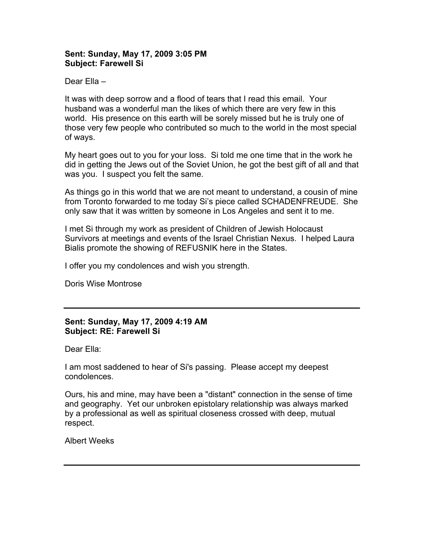# **Sent: Sunday, May 17, 2009 3:05 PM Subject: Farewell Si**

## Dear Ella –

It was with deep sorrow and a flood of tears that I read this email. Your husband was a wonderful man the likes of which there are very few in this world. His presence on this earth will be sorely missed but he is truly one of those very few people who contributed so much to the world in the most special of ways.

My heart goes out to you for your loss. Si told me one time that in the work he did in getting the Jews out of the Soviet Union, he got the best gift of all and that was you. I suspect you felt the same.

As things go in this world that we are not meant to understand, a cousin of mine from Toronto forwarded to me today Si's piece called SCHADENFREUDE. She only saw that it was written by someone in Los Angeles and sent it to me.

I met Si through my work as president of Children of Jewish Holocaust Survivors at meetings and events of the Israel Christian Nexus. I helped Laura Bialis promote the showing of REFUSNIK here in the States.

I offer you my condolences and wish you strength.

Doris Wise Montrose

# **Sent: Sunday, May 17, 2009 4:19 AM Subject: RE: Farewell Si**

Dear Ella:

I am most saddened to hear of Si's passing. Please accept my deepest condolences.

Ours, his and mine, may have been a "distant" connection in the sense of time and geography. Yet our unbroken epistolary relationship was always marked by a professional as well as spiritual closeness crossed with deep, mutual respect.

Albert Weeks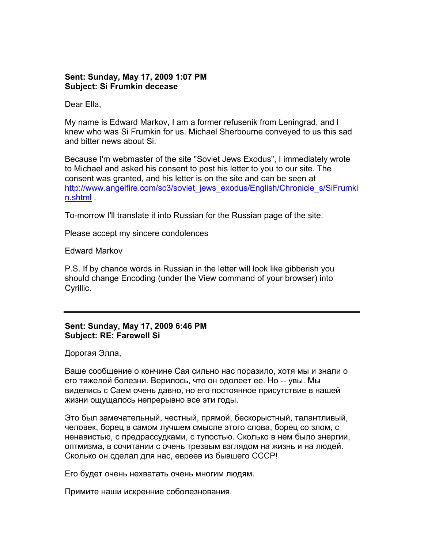#### **Sent: Sunday, May 17, 2009 1:07 PM Subject: Si Frumkin decease**

Dear Ella,

My name is Edward Markov, I am a former refusenik from Leningrad, and I knew who was Si Frumkin for us. Michael Sherbourne conveyed to us this sad and bitter news about Si.

Because I'm webmaster of the site "Soviet Jews Exodus", I immediately wrote to Michael and asked his consent to post his letter to you to our site. The consent was granted, and his letter is on the site and can be seen at [http://www.angelfire.com/sc3/soviet\\_jews\\_exodus/English/Chronicle\\_s/SiFrumki](http://www.angelfire.com/sc3/soviet_jews_exodus/English/Chronicle_s/SiFrumkin.shtml) [n.shtml](http://www.angelfire.com/sc3/soviet_jews_exodus/English/Chronicle_s/SiFrumkin.shtml) .

To-morrow I'll translate it into Russian for the Russian page of the site.

Please accept my sincere condolences

Edward Markov

P.S. If by chance words in Russian in the letter will look like gibberish you should change Encoding (under the View command of your browser) into Cyrillic.

# **Sent: Sunday, May 17, 2009 6:46 PM Subject: RE: Farewell Si**

Дорогая Элла,

Ваше сообщение о кончине Сая сильно нас поразило, хотя мы и знали о его тяжелой болезни. Верилось, что он одолеет ее. Но -- увы. Мы виделись с Саем очень давно, но его постоянное присутствие в нашей жизни ощущалось непрерывно все эти годы.

Это был замечательный, честный, прямой, бескорыстный, талантливый, человек, борец в самом лучшем смысле этого слова, борец со злом, с ненавистью, с предрассудками, с тупостью. Сколько в нем было энергии, оптмизма, в сочитании с очень трезвым взглядом на жизнь и на людей. Сколько он сделал для нас, евреев из бывшего СССР!

Его будет очень нехватать очень многим людям.

Примите наши искренние соболезнования.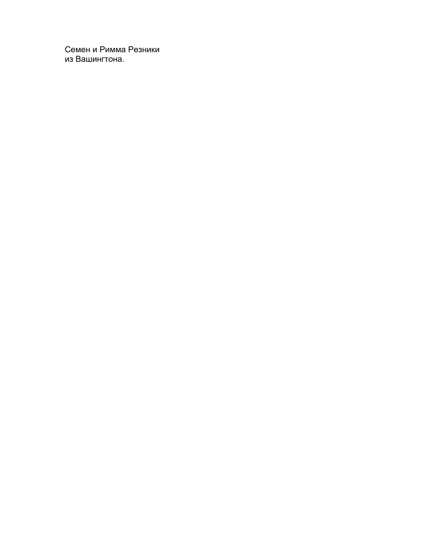Семен и Римма Резники из Вашингтона.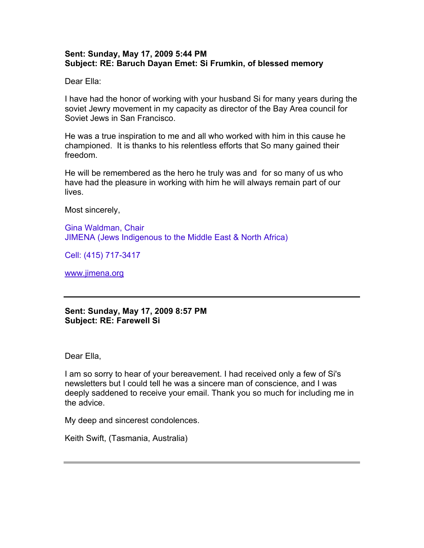## **Sent: Sunday, May 17, 2009 5:44 PM Subject: RE: Baruch Dayan Emet: Si Frumkin, of blessed memory**

Dear Ella:

I have had the honor of working with your husband Si for many years during the soviet Jewry movement in my capacity as director of the Bay Area council for Soviet Jews in San Francisco.

He was a true inspiration to me and all who worked with him in this cause he championed. It is thanks to his relentless efforts that So many gained their freedom.

He will be remembered as the hero he truly was and for so many of us who have had the pleasure in working with him he will always remain part of our lives.

Most sincerely,

Gina Waldman, Chair JIMENA (Jews Indigenous to the Middle East & North Africa)

Cell: (415) 717-3417

[www.jimena.org](http://www.jimena.org/)

**Sent: Sunday, May 17, 2009 8:57 PM Subject: RE: Farewell Si** 

Dear Ella,

I am so sorry to hear of your bereavement. I had received only a few of Si's newsletters but I could tell he was a sincere man of conscience, and I was deeply saddened to receive your email. Thank you so much for including me in the advice.

My deep and sincerest condolences.

Keith Swift, (Tasmania, Australia)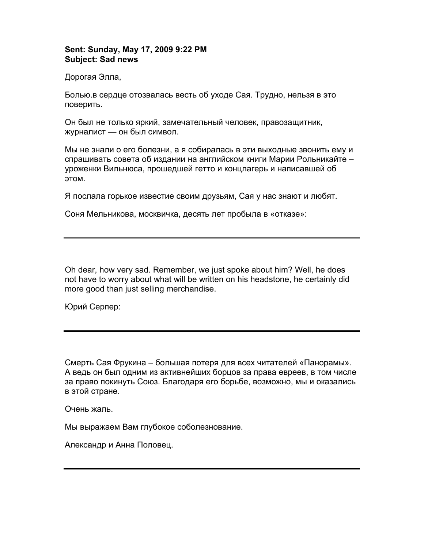# **Sent: Sunday, May 17, 2009 9:22 PM Subject: Sad news**

Дорогая Элла,

Болью.в сердце отозвалась весть об уходе Сая. Трудно, нельзя в это поверить.

Он был не только яркий, замечательный человек, правозащитник, журналист — он был символ.

Мы не знали о его болезни, а я собиралась в эти выходные звонить ему и спрашивать совета об издании на английском книги Марии Рольникайте – уроженки Вильнюса, прошедшей гетто и концлагерь и написавшей об этом.

Я послала горькое известие своим друзьям, Сая у нас знают и любят.

Соня Мельникова, москвичка, десять лет пробыла в «отказе»:

Oh dear, how very sad. Remember, we just spoke about him? Well, he does not have to worry about what will be written on his headstone, he certainly did more good than just selling merchandise.

Юрий Серпер:

Смерть Сая Фрукина – большая потеря для всех читателей «Панорамы». А ведь он был одним из активнейших борцов за права евреев, в том числе за право покинуть Союз. Благодаря его борьбе, возможно, мы и оказались в этой стране.

Очень жаль.

Мы выражаем Вам глубокое соболезнование.

Александр и Анна Половец.